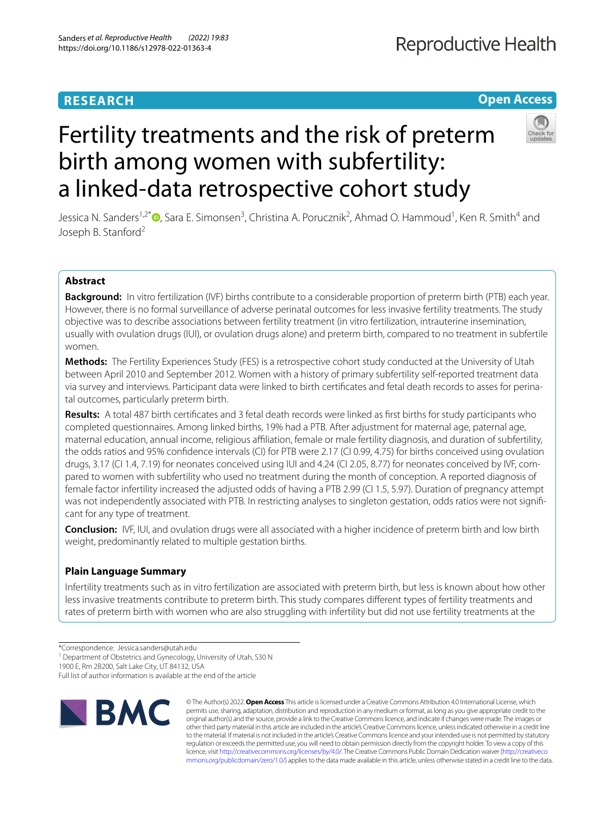# **RESEARCH**

# **Open Access**



# Fertility treatments and the risk of preterm birth among women with subfertility: a linked-data retrospective cohort study

Jessica N. Sanders<sup>1[,](http://orcid.org/0000-0002-4487-1997)2\*</sup>®, Sara E. Simonsen<sup>3</sup>, Christina A. Porucznik<sup>2</sup>, Ahmad O. Hammoud<sup>1</sup>, Ken R. Smith<sup>4</sup> and Joseph B. Stanford<sup>2</sup>

## **Abstract**

**Background:** In vitro fertilization (IVF) births contribute to a considerable proportion of preterm birth (PTB) each year. However, there is no formal surveillance of adverse perinatal outcomes for less invasive fertility treatments. The study objective was to describe associations between fertility treatment (in vitro fertilization, intrauterine insemination, usually with ovulation drugs (IUI), or ovulation drugs alone) and preterm birth, compared to no treatment in subfertile women.

**Methods:** The Fertility Experiences Study (FES) is a retrospective cohort study conducted at the University of Utah between April 2010 and September 2012. Women with a history of primary subfertility self-reported treatment data via survey and interviews. Participant data were linked to birth certifcates and fetal death records to asses for perinatal outcomes, particularly preterm birth.

**Results:** A total 487 birth certifcates and 3 fetal death records were linked as frst births for study participants who completed questionnaires. Among linked births, 19% had a PTB. After adjustment for maternal age, paternal age, maternal education, annual income, religious affiliation, female or male fertility diagnosis, and duration of subfertility, the odds ratios and 95% confdence intervals (CI) for PTB were 2.17 (CI 0.99, 4.75) for births conceived using ovulation drugs, 3.17 (CI 1.4, 7.19) for neonates conceived using IUI and 4.24 (CI 2.05, 8.77) for neonates conceived by IVF, compared to women with subfertility who used no treatment during the month of conception. A reported diagnosis of female factor infertility increased the adjusted odds of having a PTB 2.99 (CI 1.5, 5.97). Duration of pregnancy attempt was not independently associated with PTB. In restricting analyses to singleton gestation, odds ratios were not signifcant for any type of treatment.

**Conclusion:** IVF, IUI, and ovulation drugs were all associated with a higher incidence of preterm birth and low birth weight, predominantly related to multiple gestation births.

# **Plain Language Summary**

Infertility treatments such as in vitro fertilization are associated with preterm birth, but less is known about how other less invasive treatments contribute to preterm birth. This study compares diferent types of fertility treatments and rates of preterm birth with women who are also struggling with infertility but did not use fertility treatments at the

<sup>1</sup> Department of Obstetrics and Gynecology, University of Utah, S30 N

1900 E, Rm 2B200, Salt Lake City, UT 84132, USA

Full list of author information is available at the end of the article



© The Author(s) 2022. **Open Access** This article is licensed under a Creative Commons Attribution 4.0 International License, which permits use, sharing, adaptation, distribution and reproduction in any medium or format, as long as you give appropriate credit to the original author(s) and the source, provide a link to the Creative Commons licence, and indicate if changes were made. The images or other third party material in this article are included in the article's Creative Commons licence, unless indicated otherwise in a credit line to the material. If material is not included in the article's Creative Commons licence and your intended use is not permitted by statutory regulation or exceeds the permitted use, you will need to obtain permission directly from the copyright holder. To view a copy of this licence, visit [http://creativecommons.org/licenses/by/4.0/.](http://creativecommons.org/licenses/by/4.0/) The Creative Commons Public Domain Dedication waiver ([http://creativeco](http://creativecommons.org/publicdomain/zero/1.0/) [mmons.org/publicdomain/zero/1.0/](http://creativecommons.org/publicdomain/zero/1.0/)) applies to the data made available in this article, unless otherwise stated in a credit line to the data.

<sup>\*</sup>Correspondence: Jessica.sanders@utah.edu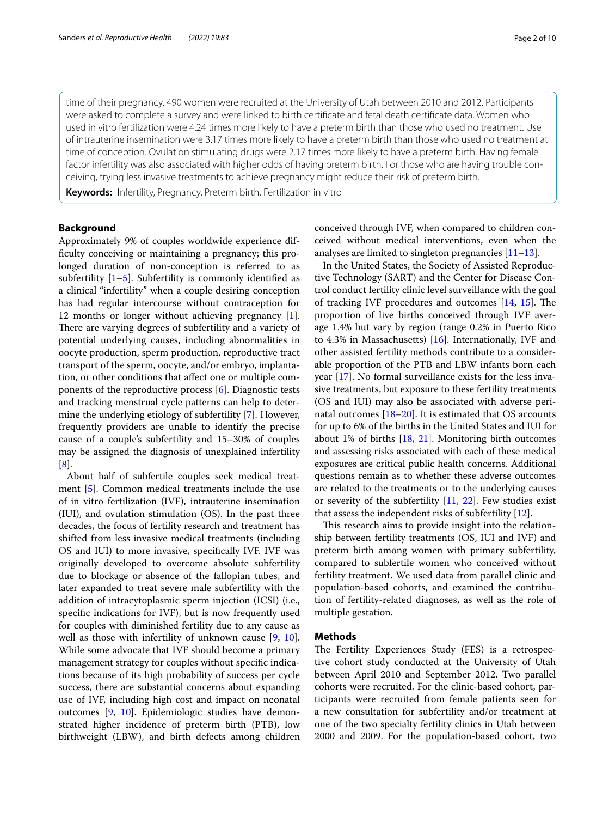time of their pregnancy. 490 women were recruited at the University of Utah between 2010 and 2012. Participants were asked to complete a survey and were linked to birth certifcate and fetal death certifcate data. Women who used in vitro fertilization were 4.24 times more likely to have a preterm birth than those who used no treatment. Use of intrauterine insemination were 3.17 times more likely to have a preterm birth than those who used no treatment at time of conception. Ovulation stimulating drugs were 2.17 times more likely to have a preterm birth. Having female factor infertility was also associated with higher odds of having preterm birth. For those who are having trouble conceiving, trying less invasive treatments to achieve pregnancy might reduce their risk of preterm birth.

**Keywords:** Infertility, Pregnancy, Preterm birth, Fertilization in vitro

#### **Background**

Approximately 9% of couples worldwide experience difficulty conceiving or maintaining a pregnancy; this prolonged duration of non-conception is referred to as subfertility  $[1–5]$  $[1–5]$  $[1–5]$ . Subfertility is commonly identified as a clinical "infertility" when a couple desiring conception has had regular intercourse without contraception for 12 months or longer without achieving pregnancy [\[1](#page-8-0)]. There are varying degrees of subfertility and a variety of potential underlying causes, including abnormalities in oocyte production, sperm production, reproductive tract transport of the sperm, oocyte, and/or embryo, implantation, or other conditions that afect one or multiple components of the reproductive process [[6\]](#page-8-2). Diagnostic tests and tracking menstrual cycle patterns can help to determine the underlying etiology of subfertility [\[7\]](#page-8-3). However, frequently providers are unable to identify the precise cause of a couple's subfertility and 15–30% of couples may be assigned the diagnosis of unexplained infertility [[8\]](#page-8-4).

About half of subfertile couples seek medical treatment [\[5\]](#page-8-1). Common medical treatments include the use of in vitro fertilization (IVF), intrauterine insemination (IUI), and ovulation stimulation (OS). In the past three decades, the focus of fertility research and treatment has shifted from less invasive medical treatments (including OS and IUI) to more invasive, specifcally IVF. IVF was originally developed to overcome absolute subfertility due to blockage or absence of the fallopian tubes, and later expanded to treat severe male subfertility with the addition of intracytoplasmic sperm injection (ICSI) (i.e., specifc indications for IVF), but is now frequently used for couples with diminished fertility due to any cause as well as those with infertility of unknown cause [\[9](#page-8-5), [10](#page-9-0)]. While some advocate that IVF should become a primary management strategy for couples without specifc indications because of its high probability of success per cycle success, there are substantial concerns about expanding use of IVF, including high cost and impact on neonatal outcomes [[9,](#page-8-5) [10\]](#page-9-0). Epidemiologic studies have demonstrated higher incidence of preterm birth (PTB), low birthweight (LBW), and birth defects among children conceived through IVF, when compared to children conceived without medical interventions, even when the analyses are limited to singleton pregnancies [\[11–](#page-9-1)[13\]](#page-9-2).

In the United States, the Society of Assisted Reproductive Technology (SART) and the Center for Disease Control conduct fertility clinic level surveillance with the goal of tracking IVF procedures and outcomes  $[14, 15]$  $[14, 15]$  $[14, 15]$  $[14, 15]$ . The proportion of live births conceived through IVF average 1.4% but vary by region (range 0.2% in Puerto Rico to 4.3% in Massachusetts)  $[16]$  $[16]$ . Internationally, IVF and other assisted fertility methods contribute to a considerable proportion of the PTB and LBW infants born each year [\[17\]](#page-9-6). No formal surveillance exists for the less invasive treatments, but exposure to these fertility treatments (OS and IUI) may also be associated with adverse perinatal outcomes  $[18–20]$  $[18–20]$ . It is estimated that OS accounts for up to 6% of the births in the United States and IUI for about 1% of births [[18](#page-9-7), [21](#page-9-9)]. Monitoring birth outcomes and assessing risks associated with each of these medical exposures are critical public health concerns. Additional questions remain as to whether these adverse outcomes are related to the treatments or to the underlying causes or severity of the subfertility [[11](#page-9-1), [22](#page-9-10)]. Few studies exist that assess the independent risks of subfertility [[12\]](#page-9-11).

This research aims to provide insight into the relationship between fertility treatments (OS, IUI and IVF) and preterm birth among women with primary subfertility, compared to subfertile women who conceived without fertility treatment. We used data from parallel clinic and population-based cohorts, and examined the contribution of fertility-related diagnoses, as well as the role of multiple gestation.

#### **Methods**

The Fertility Experiences Study (FES) is a retrospective cohort study conducted at the University of Utah between April 2010 and September 2012. Two parallel cohorts were recruited. For the clinic-based cohort, participants were recruited from female patients seen for a new consultation for subfertility and/or treatment at one of the two specialty fertility clinics in Utah between 2000 and 2009. For the population-based cohort, two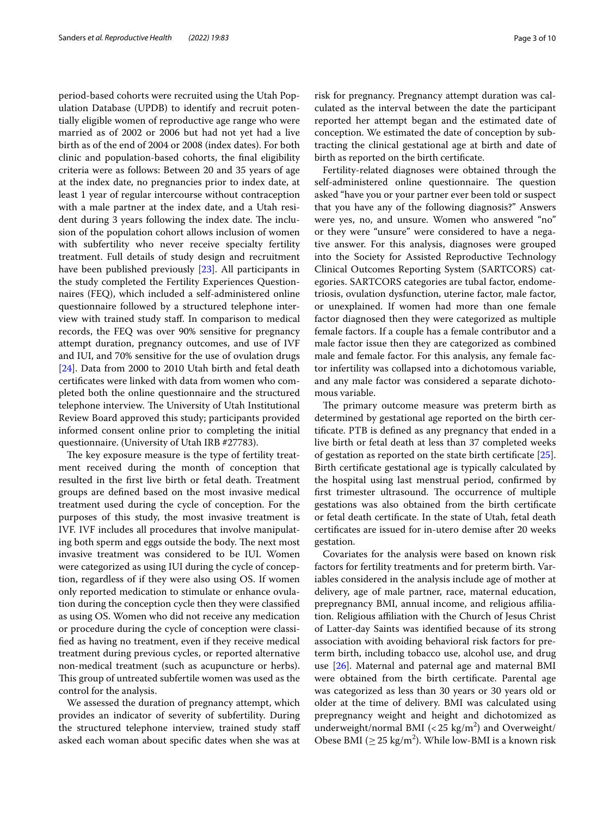period-based cohorts were recruited using the Utah Population Database (UPDB) to identify and recruit potentially eligible women of reproductive age range who were married as of 2002 or 2006 but had not yet had a live birth as of the end of 2004 or 2008 (index dates). For both clinic and population-based cohorts, the fnal eligibility criteria were as follows: Between 20 and 35 years of age at the index date, no pregnancies prior to index date, at least 1 year of regular intercourse without contraception with a male partner at the index date, and a Utah resident during 3 years following the index date. The inclusion of the population cohort allows inclusion of women with subfertility who never receive specialty fertility treatment. Full details of study design and recruitment have been published previously [\[23](#page-9-12)]. All participants in the study completed the Fertility Experiences Questionnaires (FEQ), which included a self-administered online questionnaire followed by a structured telephone interview with trained study staf. In comparison to medical records, the FEQ was over 90% sensitive for pregnancy attempt duration, pregnancy outcomes, and use of IVF and IUI, and 70% sensitive for the use of ovulation drugs [[24\]](#page-9-13). Data from 2000 to 2010 Utah birth and fetal death certifcates were linked with data from women who completed both the online questionnaire and the structured telephone interview. The University of Utah Institutional Review Board approved this study; participants provided informed consent online prior to completing the initial questionnaire. (University of Utah IRB #27783).

The key exposure measure is the type of fertility treatment received during the month of conception that resulted in the frst live birth or fetal death. Treatment groups are defned based on the most invasive medical treatment used during the cycle of conception. For the purposes of this study, the most invasive treatment is IVF. IVF includes all procedures that involve manipulating both sperm and eggs outside the body. The next most invasive treatment was considered to be IUI. Women were categorized as using IUI during the cycle of conception, regardless of if they were also using OS. If women only reported medication to stimulate or enhance ovulation during the conception cycle then they were classifed as using OS. Women who did not receive any medication or procedure during the cycle of conception were classifed as having no treatment, even if they receive medical treatment during previous cycles, or reported alternative non-medical treatment (such as acupuncture or herbs). This group of untreated subfertile women was used as the control for the analysis.

We assessed the duration of pregnancy attempt, which provides an indicator of severity of subfertility. During the structured telephone interview, trained study staf asked each woman about specifc dates when she was at risk for pregnancy. Pregnancy attempt duration was calculated as the interval between the date the participant reported her attempt began and the estimated date of conception. We estimated the date of conception by subtracting the clinical gestational age at birth and date of birth as reported on the birth certifcate.

Fertility-related diagnoses were obtained through the self-administered online questionnaire. The question asked "have you or your partner ever been told or suspect that you have any of the following diagnosis?" Answers were yes, no, and unsure. Women who answered "no" or they were "unsure" were considered to have a negative answer. For this analysis, diagnoses were grouped into the Society for Assisted Reproductive Technology Clinical Outcomes Reporting System (SARTCORS) categories. SARTCORS categories are tubal factor, endometriosis, ovulation dysfunction, uterine factor, male factor, or unexplained. If women had more than one female factor diagnosed then they were categorized as multiple female factors. If a couple has a female contributor and a male factor issue then they are categorized as combined male and female factor. For this analysis, any female factor infertility was collapsed into a dichotomous variable, and any male factor was considered a separate dichotomous variable.

The primary outcome measure was preterm birth as determined by gestational age reported on the birth certifcate. PTB is defned as any pregnancy that ended in a live birth or fetal death at less than 37 completed weeks of gestation as reported on the state birth certifcate [\[25](#page-9-14)]. Birth certifcate gestational age is typically calculated by the hospital using last menstrual period, confrmed by first trimester ultrasound. The occurrence of multiple gestations was also obtained from the birth certifcate or fetal death certifcate. In the state of Utah, fetal death certifcates are issued for in-utero demise after 20 weeks gestation.

Covariates for the analysis were based on known risk factors for fertility treatments and for preterm birth. Variables considered in the analysis include age of mother at delivery, age of male partner, race, maternal education, prepregnancy BMI, annual income, and religious afliation. Religious afliation with the Church of Jesus Christ of Latter-day Saints was identifed because of its strong association with avoiding behavioral risk factors for preterm birth, including tobacco use, alcohol use, and drug use [[26](#page-9-15)]. Maternal and paternal age and maternal BMI were obtained from the birth certifcate. Parental age was categorized as less than 30 years or 30 years old or older at the time of delivery. BMI was calculated using prepregnancy weight and height and dichotomized as underweight/normal BMI  $\left($  < 25 kg/m<sup>2</sup> $\right)$  and Overweight/ Obese BMI ( $\geq$  25 kg/m<sup>2</sup>). While low-BMI is a known risk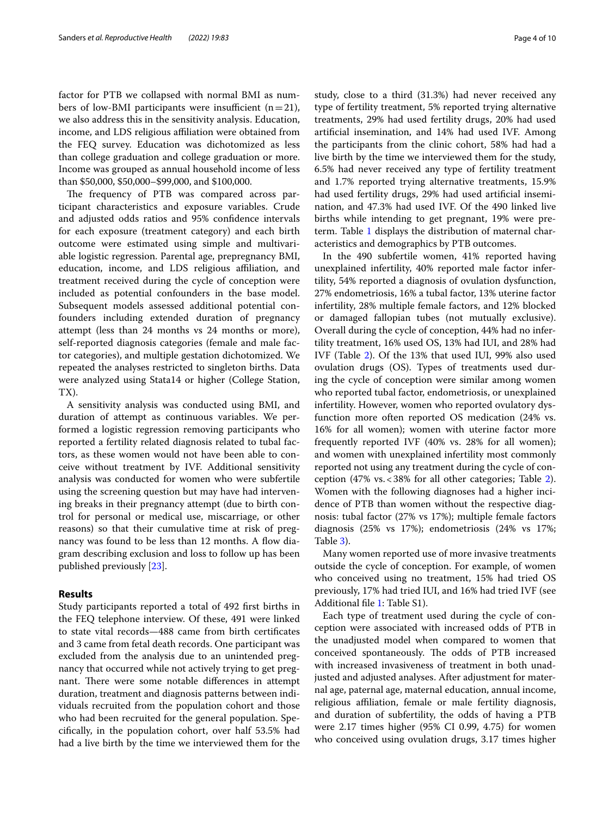factor for PTB we collapsed with normal BMI as numbers of low-BMI participants were insufficient  $(n=21)$ , we also address this in the sensitivity analysis. Education, income, and LDS religious afliation were obtained from the FEQ survey. Education was dichotomized as less than college graduation and college graduation or more. Income was grouped as annual household income of less than \$50,000, \$50,000–\$99,000, and \$100,000.

The frequency of PTB was compared across participant characteristics and exposure variables. Crude and adjusted odds ratios and 95% confdence intervals for each exposure (treatment category) and each birth outcome were estimated using simple and multivariable logistic regression. Parental age, prepregnancy BMI, education, income, and LDS religious affiliation, and treatment received during the cycle of conception were included as potential confounders in the base model. Subsequent models assessed additional potential confounders including extended duration of pregnancy attempt (less than 24 months vs 24 months or more), self-reported diagnosis categories (female and male factor categories), and multiple gestation dichotomized. We repeated the analyses restricted to singleton births. Data were analyzed using Stata14 or higher (College Station, TX).

A sensitivity analysis was conducted using BMI, and duration of attempt as continuous variables. We performed a logistic regression removing participants who reported a fertility related diagnosis related to tubal factors, as these women would not have been able to conceive without treatment by IVF. Additional sensitivity analysis was conducted for women who were subfertile using the screening question but may have had intervening breaks in their pregnancy attempt (due to birth control for personal or medical use, miscarriage, or other reasons) so that their cumulative time at risk of pregnancy was found to be less than 12 months. A flow diagram describing exclusion and loss to follow up has been published previously [[23\]](#page-9-12).

#### **Results**

Study participants reported a total of 492 frst births in the FEQ telephone interview. Of these, 491 were linked to state vital records—488 came from birth certifcates and 3 came from fetal death records. One participant was excluded from the analysis due to an unintended pregnancy that occurred while not actively trying to get pregnant. There were some notable differences in attempt duration, treatment and diagnosis patterns between individuals recruited from the population cohort and those who had been recruited for the general population. Specifcally, in the population cohort, over half 53.5% had had a live birth by the time we interviewed them for the study, close to a third (31.3%) had never received any type of fertility treatment, 5% reported trying alternative treatments, 29% had used fertility drugs, 20% had used artifcial insemination, and 14% had used IVF. Among the participants from the clinic cohort, 58% had had a live birth by the time we interviewed them for the study, 6.5% had never received any type of fertility treatment and 1.7% reported trying alternative treatments, 15.9% had used fertility drugs, 29% had used artifcial insemination, and 47.3% had used IVF. Of the 490 linked live births while intending to get pregnant, 19% were preterm. Table [1](#page-4-0) displays the distribution of maternal characteristics and demographics by PTB outcomes.

In the 490 subfertile women, 41% reported having unexplained infertility, 40% reported male factor infertility, 54% reported a diagnosis of ovulation dysfunction, 27% endometriosis, 16% a tubal factor, 13% uterine factor infertility, 28% multiple female factors, and 12% blocked or damaged fallopian tubes (not mutually exclusive). Overall during the cycle of conception, 44% had no infertility treatment, 16% used OS, 13% had IUI, and 28% had IVF (Table [2\)](#page-5-0). Of the 13% that used IUI, 99% also used ovulation drugs (OS). Types of treatments used during the cycle of conception were similar among women who reported tubal factor, endometriosis, or unexplained infertility. However, women who reported ovulatory dysfunction more often reported OS medication (24% vs. 16% for all women); women with uterine factor more frequently reported IVF (40% vs. 28% for all women); and women with unexplained infertility most commonly reported not using any treatment during the cycle of conception (47% vs.<38% for all other categories; Table [2](#page-5-0)). Women with the following diagnoses had a higher incidence of PTB than women without the respective diagnosis: tubal factor (27% vs 17%); multiple female factors diagnosis (25% vs 17%); endometriosis (24% vs 17%; Table [3](#page-6-0)).

Many women reported use of more invasive treatments outside the cycle of conception. For example, of women who conceived using no treatment, 15% had tried OS previously, 17% had tried IUI, and 16% had tried IVF (see Additional fle [1](#page-8-6): Table S1).

Each type of treatment used during the cycle of conception were associated with increased odds of PTB in the unadjusted model when compared to women that conceived spontaneously. The odds of PTB increased with increased invasiveness of treatment in both unadjusted and adjusted analyses. After adjustment for maternal age, paternal age, maternal education, annual income, religious afliation, female or male fertility diagnosis, and duration of subfertility, the odds of having a PTB were 2.17 times higher (95% CI 0.99, 4.75) for women who conceived using ovulation drugs, 3.17 times higher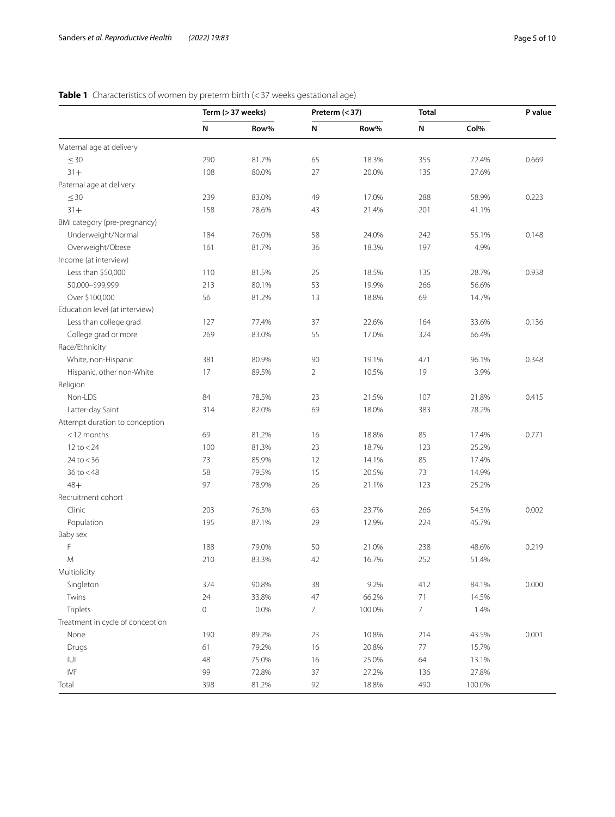# <span id="page-4-0"></span>**Table 1** Characteristics of women by preterm birth (<37 weeks gestational age)

|                                  | Term (> 37 weeks) |       | Preterm $(37)$  |        | <b>Total</b>   |        | P value |  |
|----------------------------------|-------------------|-------|-----------------|--------|----------------|--------|---------|--|
|                                  | N                 | Row%  | N               | Row%   | N              | Col%   |         |  |
| Maternal age at delivery         |                   |       |                 |        |                |        |         |  |
| $\leq 30$                        | 290               | 81.7% | 65              | 18.3%  | 355            | 72.4%  | 0.669   |  |
| $31 +$                           | 108               | 80.0% | 27              | 20.0%  | 135            | 27.6%  |         |  |
| Paternal age at delivery         |                   |       |                 |        |                |        |         |  |
| $\leq 30$                        | 239               | 83.0% | 49              | 17.0%  | 288            | 58.9%  | 0.223   |  |
| $31 +$                           | 158               | 78.6% | 43              | 21.4%  | 201            | 41.1%  |         |  |
| BMI category (pre-pregnancy)     |                   |       |                 |        |                |        |         |  |
| Underweight/Normal               | 184               | 76.0% | 58              | 24.0%  | 242            | 55.1%  | 0.148   |  |
| Overweight/Obese                 | 161               | 81.7% | 36              | 18.3%  | 197            | 4.9%   |         |  |
| Income (at interview)            |                   |       |                 |        |                |        |         |  |
| Less than \$50,000               | 110               | 81.5% | 25              | 18.5%  | 135            | 28.7%  | 0.938   |  |
| 50,000-\$99,999                  | 213               | 80.1% | 53              | 19.9%  | 266            | 56.6%  |         |  |
| Over \$100,000                   | 56                | 81.2% | 13              | 18.8%  | 69             | 14.7%  |         |  |
| Education level (at interview)   |                   |       |                 |        |                |        |         |  |
| Less than college grad           | 127               | 77.4% | 37              | 22.6%  | 164            | 33.6%  | 0.136   |  |
| College grad or more             | 269               | 83.0% | 55              | 17.0%  | 324            | 66.4%  |         |  |
| Race/Ethnicity                   |                   |       |                 |        |                |        |         |  |
| White, non-Hispanic              | 381               | 80.9% | 90              | 19.1%  | 471            | 96.1%  | 0.348   |  |
| Hispanic, other non-White        | 17                | 89.5% | $\overline{2}$  | 10.5%  | 19             | 3.9%   |         |  |
| Religion                         |                   |       |                 |        |                |        |         |  |
| Non-LDS                          | 84                | 78.5% | 23              | 21.5%  | 107            | 21.8%  | 0.415   |  |
| Latter-day Saint                 | 314               | 82.0% | 69              | 18.0%  | 383            | 78.2%  |         |  |
| Attempt duration to conception   |                   |       |                 |        |                |        |         |  |
| $<$ 12 months                    | 69                | 81.2% | 16              | 18.8%  | 85             | 17.4%  | 0.771   |  |
| $12$ to $<$ 24                   | 100               | 81.3% | 23              | 18.7%  | 123            | 25.2%  |         |  |
| $24$ to $<$ 36                   | 73                | 85.9% | 12              | 14.1%  | 85             | 17.4%  |         |  |
| $36$ to $< 48$                   | 58                | 79.5% | 15              | 20.5%  | 73             | 14.9%  |         |  |
| $48+$                            | 97                | 78.9% | 26              | 21.1%  | 123            | 25.2%  |         |  |
| Recruitment cohort               |                   |       |                 |        |                |        |         |  |
| Clinic                           | 203               | 76.3% | 63              | 23.7%  | 266            | 54.3%  | 0.002   |  |
| Population                       | 195               | 87.1% | 29              | 12.9%  | 224            | 45.7%  |         |  |
| Baby sex                         |                   |       |                 |        |                |        |         |  |
| F                                | 188               | 79.0% | 50              | 21.0%  | 238            | 48.6%  | 0.219   |  |
| M                                | 210               | 83.3% | 42              | 16.7%  | 252            | 51.4%  |         |  |
| Multiplicity                     |                   |       |                 |        |                |        |         |  |
| Singleton                        | 374               | 90.8% | 38              | 9.2%   | 412            | 84.1%  | 0.000   |  |
| Twins                            | 24                | 33.8% | 47              | 66.2%  | 71             | 14.5%  |         |  |
| Triplets                         | $\mathbf 0$       | 0.0%  | $7\overline{ }$ | 100.0% | $\overline{7}$ | 1.4%   |         |  |
| Treatment in cycle of conception |                   |       |                 |        |                |        |         |  |
| None                             | 190               | 89.2% | 23              | 10.8%  | 214            | 43.5%  | 0.001   |  |
| Drugs                            | 61                | 79.2% | 16              | 20.8%  | 77             | 15.7%  |         |  |
| $ \bigcup $                      | 48                | 75.0% | 16              | 25.0%  | 64             | 13.1%  |         |  |
| IVF                              | 99                | 72.8% | 37              | 27.2%  | 136            | 27.8%  |         |  |
| Total                            | 398               | 81.2% | 92              | 18.8%  | 490            | 100.0% |         |  |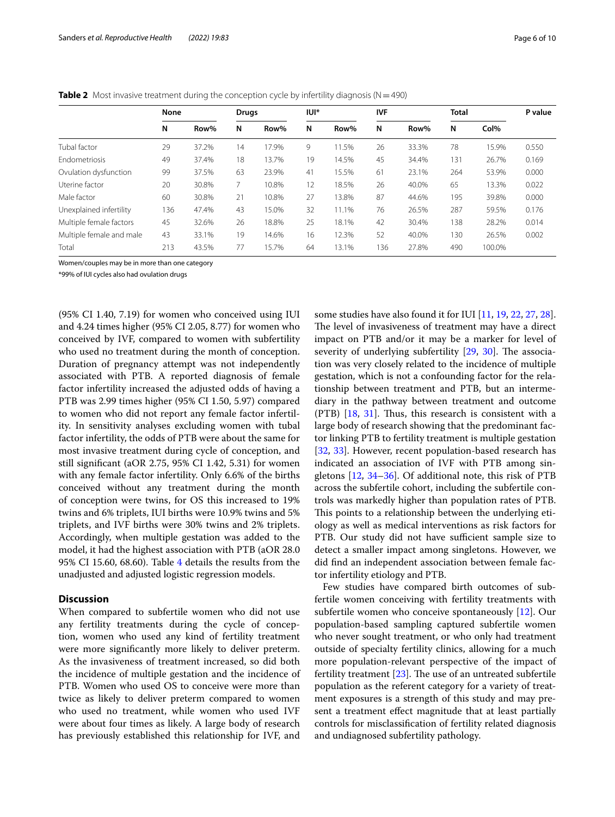|                          | None |       | <b>Drugs</b> |       | IUI* |       | <b>IVF</b> |       | <b>Total</b> |        | P value |
|--------------------------|------|-------|--------------|-------|------|-------|------------|-------|--------------|--------|---------|
|                          | N    | Row%  | N            | Row%  | N    | Row%  | N          | Row%  | N            | Col%   |         |
| Tubal factor             | 29   | 37.2% | 14           | 17.9% | 9    | 11.5% | 26         | 33.3% | 78           | 15.9%  | 0.550   |
| <b>Fndometriosis</b>     | 49   | 37.4% | 18           | 13.7% | 19   | 14.5% | 45         | 34.4% | 131          | 26.7%  | 0.169   |
| Ovulation dysfunction    | 99   | 37.5% | 63           | 23.9% | 41   | 15.5% | 61         | 23.1% | 264          | 53.9%  | 0.000   |
| Uterine factor           | 20   | 30.8% | 7.           | 10.8% | 12   | 18.5% | 26         | 40.0% | 65           | 13.3%  | 0.022   |
| Male factor              | 60   | 30.8% | 21           | 10.8% | 27   | 13.8% | 87         | 44.6% | 195          | 39.8%  | 0.000   |
| Unexplained infertility  | 136  | 47.4% | 43           | 15.0% | 32   | 11.1% | 76         | 26.5% | 287          | 59.5%  | 0.176   |
| Multiple female factors  | 45   | 32.6% | 26           | 18.8% | 25   | 18.1% | 42         | 30.4% | 138          | 28.2%  | 0.014   |
| Multiple female and male | 43   | 33.1% | 19           | 14.6% | 16   | 12.3% | 52         | 40.0% | 130          | 26.5%  | 0.002   |
| Total                    | 213  | 43.5% | 77           | 15.7% | 64   | 13.1% | 136        | 27.8% | 490          | 100.0% |         |

<span id="page-5-0"></span>**Table 2** Most invasive treatment during the conception cycle by infertility diagnosis ( $N = 490$ )

Women/couples may be in more than one category

\*99% of IUI cycles also had ovulation drugs

(95% CI 1.40, 7.19) for women who conceived using IUI and 4.24 times higher (95% CI 2.05, 8.77) for women who conceived by IVF, compared to women with subfertility who used no treatment during the month of conception. Duration of pregnancy attempt was not independently associated with PTB. A reported diagnosis of female factor infertility increased the adjusted odds of having a PTB was 2.99 times higher (95% CI 1.50, 5.97) compared to women who did not report any female factor infertility. In sensitivity analyses excluding women with tubal factor infertility, the odds of PTB were about the same for most invasive treatment during cycle of conception, and still signifcant (aOR 2.75, 95% CI 1.42, 5.31) for women with any female factor infertility. Only 6.6% of the births conceived without any treatment during the month of conception were twins, for OS this increased to 19% twins and 6% triplets, IUI births were 10.9% twins and 5% triplets, and IVF births were 30% twins and 2% triplets. Accordingly, when multiple gestation was added to the model, it had the highest association with PTB (aOR 28.0 95% CI 15.60, 68.60). Table [4](#page-7-0) details the results from the unadjusted and adjusted logistic regression models.

#### **Discussion**

When compared to subfertile women who did not use any fertility treatments during the cycle of conception, women who used any kind of fertility treatment were more signifcantly more likely to deliver preterm. As the invasiveness of treatment increased, so did both the incidence of multiple gestation and the incidence of PTB. Women who used OS to conceive were more than twice as likely to deliver preterm compared to women who used no treatment, while women who used IVF were about four times as likely. A large body of research has previously established this relationship for IVF, and some studies have also found it for IUI [\[11](#page-9-1), [19](#page-9-16), [22,](#page-9-10) [27,](#page-9-17) [28](#page-9-18)]. The level of invasiveness of treatment may have a direct impact on PTB and/or it may be a marker for level of severity of underlying subfertility  $[29, 30]$  $[29, 30]$  $[29, 30]$  $[29, 30]$  $[29, 30]$ . The association was very closely related to the incidence of multiple gestation, which is not a confounding factor for the relationship between treatment and PTB, but an intermediary in the pathway between treatment and outcome  $(PTB)$  [\[18](#page-9-7), [31](#page-9-21)]. Thus, this research is consistent with a large body of research showing that the predominant factor linking PTB to fertility treatment is multiple gestation [[32,](#page-9-22) [33](#page-9-23)]. However, recent population-based research has indicated an association of IVF with PTB among singletons [[12](#page-9-11), [34–](#page-9-24)[36\]](#page-9-25). Of additional note, this risk of PTB across the subfertile cohort, including the subfertile controls was markedly higher than population rates of PTB. This points to a relationship between the underlying etiology as well as medical interventions as risk factors for PTB. Our study did not have sufficient sample size to detect a smaller impact among singletons. However, we did fnd an independent association between female factor infertility etiology and PTB.

Few studies have compared birth outcomes of subfertile women conceiving with fertility treatments with subfertile women who conceive spontaneously [\[12](#page-9-11)]. Our population-based sampling captured subfertile women who never sought treatment, or who only had treatment outside of specialty fertility clinics, allowing for a much more population-relevant perspective of the impact of fertility treatment  $[23]$  $[23]$ . The use of an untreated subfertile population as the referent category for a variety of treatment exposures is a strength of this study and may present a treatment efect magnitude that at least partially controls for misclassifcation of fertility related diagnosis and undiagnosed subfertility pathology.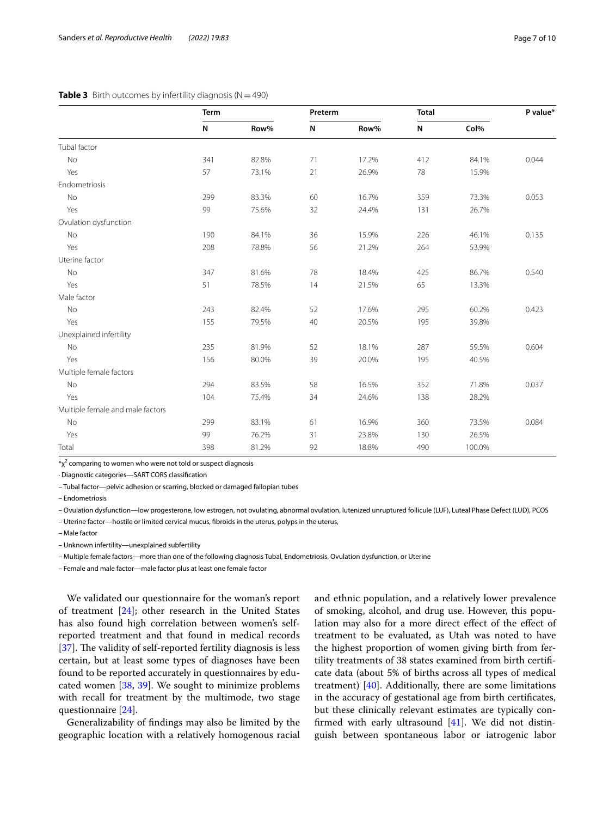#### <span id="page-6-0"></span>**Table 3** Birth outcomes by infertility diagnosis ( $N = 490$ )

|                                  | <b>Term</b> |       | Preterm |       | <b>Total</b> |        | P value <sup>*</sup> |  |
|----------------------------------|-------------|-------|---------|-------|--------------|--------|----------------------|--|
|                                  | N           | Row%  | N       | Row%  | N            | Col%   |                      |  |
| Tubal factor                     |             |       |         |       |              |        |                      |  |
| <b>No</b>                        | 341         | 82.8% | 71      | 17.2% | 412          | 84.1%  | 0.044                |  |
| Yes                              | 57          | 73.1% | 21      | 26.9% | 78           | 15.9%  |                      |  |
| Endometriosis                    |             |       |         |       |              |        |                      |  |
| No                               | 299         | 83.3% | 60      | 16.7% | 359          | 73.3%  | 0.053                |  |
| Yes                              | 99          | 75.6% | 32      | 24.4% | 131          | 26.7%  |                      |  |
| Ovulation dysfunction            |             |       |         |       |              |        |                      |  |
| No                               | 190         | 84.1% | 36      | 15.9% | 226          | 46.1%  | 0.135                |  |
| Yes                              | 208         | 78.8% | 56      | 21.2% | 264          | 53.9%  |                      |  |
| Uterine factor                   |             |       |         |       |              |        |                      |  |
| No                               | 347         | 81.6% | 78      | 18.4% | 425          | 86.7%  | 0.540                |  |
| Yes                              | 51          | 78.5% | 14      | 21.5% | 65           | 13.3%  |                      |  |
| Male factor                      |             |       |         |       |              |        |                      |  |
| No                               | 243         | 82.4% | 52      | 17.6% | 295          | 60.2%  | 0.423                |  |
| Yes                              | 155         | 79.5% | 40      | 20.5% | 195          | 39.8%  |                      |  |
| Unexplained infertility          |             |       |         |       |              |        |                      |  |
| No                               | 235         | 81.9% | 52      | 18.1% | 287          | 59.5%  | 0.604                |  |
| Yes                              | 156         | 80.0% | 39      | 20.0% | 195          | 40.5%  |                      |  |
| Multiple female factors          |             |       |         |       |              |        |                      |  |
| No                               | 294         | 83.5% | 58      | 16.5% | 352          | 71.8%  | 0.037                |  |
| Yes                              | 104         | 75.4% | 34      | 24.6% | 138          | 28.2%  |                      |  |
| Multiple female and male factors |             |       |         |       |              |        |                      |  |
| No                               | 299         | 83.1% | 61      | 16.9% | 360          | 73.5%  | 0.084                |  |
| Yes                              | 99          | 76.2% | 31      | 23.8% | 130          | 26.5%  |                      |  |
| Total                            | 398         | 81.2% | 92      | 18.8% | 490          | 100.0% |                      |  |

 $*_{\text{X}}$ <sup>2</sup> comparing to women who were not told or suspect diagnosis

∙ Diagnostic categories—SART CORS classifcation

– Tubal factor—pelvic adhesion or scarring, blocked or damaged fallopian tubes

– Endometriosis

– Ovulation dysfunction—low progesterone, low estrogen, not ovulating, abnormal ovulation, lutenized unruptured follicule (LUF), Luteal Phase Defect (LUD), PCOS

– Uterine factor—hostile or limited cervical mucus, fbroids in the uterus, polyps in the uterus,

– Male factor

– Unknown infertility—unexplained subfertility

– Multiple female factors—more than one of the following diagnosis Tubal, Endometriosis, Ovulation dysfunction, or Uterine

– Female and male factor—male factor plus at least one female factor

We validated our questionnaire for the woman's report of treatment [[24](#page-9-13)]; other research in the United States has also found high correlation between women's selfreported treatment and that found in medical records [ $37$ ]. The validity of self-reported fertility diagnosis is less certain, but at least some types of diagnoses have been found to be reported accurately in questionnaires by educated women [\[38,](#page-9-27) [39](#page-9-28)]. We sought to minimize problems with recall for treatment by the multimode, two stage questionnaire [\[24](#page-9-13)].

Generalizability of fndings may also be limited by the geographic location with a relatively homogenous racial

and ethnic population, and a relatively lower prevalence of smoking, alcohol, and drug use. However, this population may also for a more direct effect of the effect of treatment to be evaluated, as Utah was noted to have the highest proportion of women giving birth from fertility treatments of 38 states examined from birth certifcate data (about 5% of births across all types of medical treatment)  $[40]$  $[40]$ . Additionally, there are some limitations in the accuracy of gestational age from birth certifcates, but these clinically relevant estimates are typically confrmed with early ultrasound [[41\]](#page-9-30). We did not distinguish between spontaneous labor or iatrogenic labor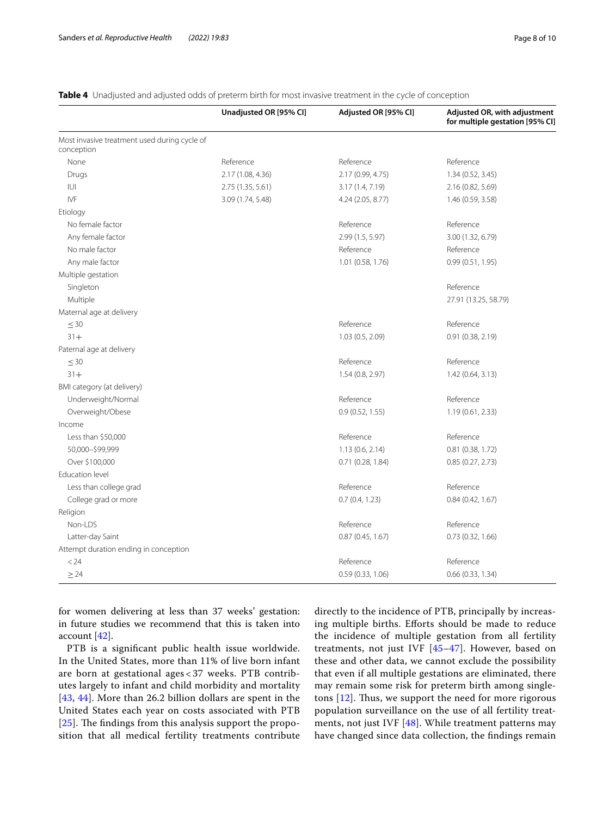|                                              | Unadjusted OR [95% CI] | Adjusted OR [95% CI] | Adjusted OR, with adjustment<br>for multiple gestation [95% CI] |
|----------------------------------------------|------------------------|----------------------|-----------------------------------------------------------------|
| Most invasive treatment used during cycle of |                        |                      |                                                                 |
| conception                                   |                        |                      |                                                                 |
| None                                         | Reference              | Reference            | Reference                                                       |
| Drugs                                        | 2.17 (1.08, 4.36)      | 2.17 (0.99, 4.75)    | 1.34 (0.52, 3.45)                                               |
| IUI                                          | 2.75 (1.35, 5.61)      | 3.17(1.4, 7.19)      | 2.16 (0.82, 5.69)                                               |
| <b>IVF</b>                                   | 3.09 (1.74, 5.48)      | 4.24 (2.05, 8.77)    | 1.46 (0.59, 3.58)                                               |
| Etiology                                     |                        |                      |                                                                 |
| No female factor                             |                        | Reference            | Reference                                                       |
| Any female factor                            |                        | 2.99 (1.5, 5.97)     | 3.00 (1.32, 6.79)                                               |
| No male factor                               |                        | Reference            | Reference                                                       |
| Any male factor                              |                        | 1.01 (0.58, 1.76)    | 0.99(0.51, 1.95)                                                |
| Multiple gestation                           |                        |                      |                                                                 |
| Singleton                                    |                        |                      | Reference                                                       |
| Multiple                                     |                        |                      | 27.91 (13.25, 58.79)                                            |
| Maternal age at delivery                     |                        |                      |                                                                 |
| $\leq 30$                                    |                        | Reference            | Reference                                                       |
| $31 +$                                       |                        | 1.03 (0.5, 2.09)     | 0.91 (0.38, 2.19)                                               |
| Paternal age at delivery                     |                        |                      |                                                                 |
| $\leq 30$                                    |                        | Reference            | Reference                                                       |
| $31 +$                                       |                        | 1.54(0.8, 2.97)      | 1.42 (0.64, 3.13)                                               |
| BMI category (at delivery)                   |                        |                      |                                                                 |
| Underweight/Normal                           |                        | Reference            | Reference                                                       |
| Overweight/Obese                             |                        | 0.9(0.52, 1.55)      | 1.19(0.61, 2.33)                                                |
| Income                                       |                        |                      |                                                                 |
| Less than \$50,000                           |                        | Reference            | Reference                                                       |
| 50,000-\$99,999                              |                        | 1.13(0.6, 2.14)      | 0.81 (0.38, 1.72)                                               |
| Over \$100,000                               |                        | $0.71$ (0.28, 1.84)  | 0.85(0.27, 2.73)                                                |
| Education level                              |                        |                      |                                                                 |
| Less than college grad                       |                        | Reference            | Reference                                                       |
| College grad or more                         |                        | 0.7(0.4, 1.23)       | 0.84(0.42, 1.67)                                                |
| Religion                                     |                        |                      |                                                                 |
| Non-LDS                                      |                        | Reference            | Reference                                                       |
| Latter-day Saint                             |                        | 0.87(0.45, 1.67)     | 0.73(0.32, 1.66)                                                |
| Attempt duration ending in conception        |                        |                      |                                                                 |
| < 24                                         |                        | Reference            | Reference                                                       |
| $\geq$ 24                                    |                        | 0.59 (0.33, 1.06)    | 0.66 (0.33, 1.34)                                               |

#### <span id="page-7-0"></span>**Table 4** Unadjusted and adjusted odds of preterm birth for most invasive treatment in the cycle of conception

for women delivering at less than 37 weeks' gestation: in future studies we recommend that this is taken into account [\[42](#page-9-31)].

PTB is a signifcant public health issue worldwide. In the United States, more than 11% of live born infant are born at gestational ages < 37 weeks. PTB contributes largely to infant and child morbidity and mortality [[43](#page-9-32), [44\]](#page-9-33). More than 26.2 billion dollars are spent in the United States each year on costs associated with PTB  $[25]$  $[25]$  $[25]$ . The findings from this analysis support the proposition that all medical fertility treatments contribute directly to the incidence of PTB, principally by increasing multiple births. Efforts should be made to reduce the incidence of multiple gestation from all fertility treatments, not just IVF [\[45](#page-9-34)[–47](#page-9-35)]. However, based on these and other data, we cannot exclude the possibility that even if all multiple gestations are eliminated, there may remain some risk for preterm birth among singletons  $[12]$  $[12]$  $[12]$ . Thus, we support the need for more rigorous population surveillance on the use of all fertility treatments, not just IVF [[48\]](#page-9-36). While treatment patterns may have changed since data collection, the fndings remain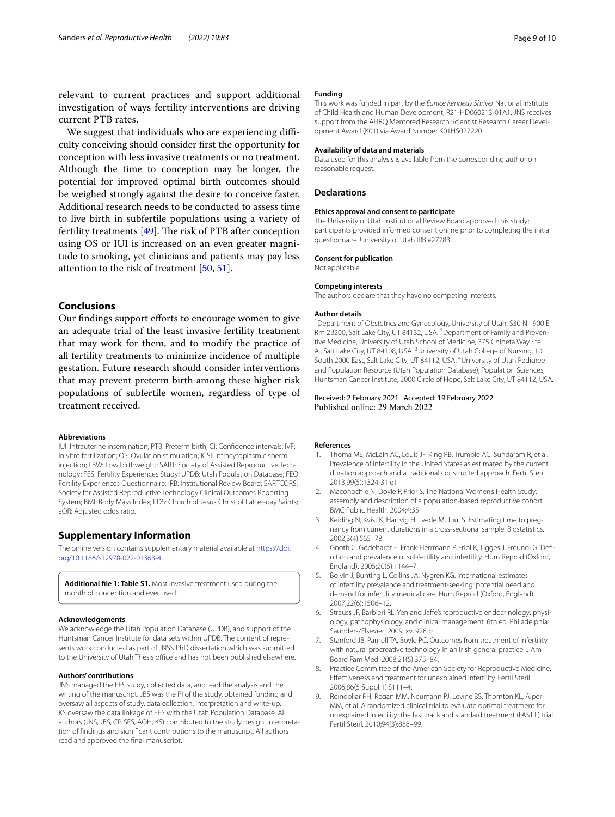relevant to current practices and support additional investigation of ways fertility interventions are driving current PTB rates.

We suggest that individuals who are experiencing difficulty conceiving should consider frst the opportunity for conception with less invasive treatments or no treatment. Although the time to conception may be longer, the potential for improved optimal birth outcomes should be weighed strongly against the desire to conceive faster. Additional research needs to be conducted to assess time to live birth in subfertile populations using a variety of fertility treatments  $[49]$ . The risk of PTB after conception using OS or IUI is increased on an even greater magnitude to smoking, yet clinicians and patients may pay less attention to the risk of treatment [[50,](#page-9-38) [51](#page-9-39)].

### **Conclusions**

Our findings support efforts to encourage women to give an adequate trial of the least invasive fertility treatment that may work for them, and to modify the practice of all fertility treatments to minimize incidence of multiple gestation. Future research should consider interventions that may prevent preterm birth among these higher risk populations of subfertile women, regardless of type of treatment received.

#### **Abbreviations**

IUI: Intrauterine insemination; PTB: Preterm birth; CI: Confdence intervals; IVF: In vitro fertilization; OS: Ovulation stimulation; ICSI: Intracytoplasmic sperm injection; LBW: Low birthweight; SART: Society of Assisted Reproductive Technology; FES: Fertility Experiences Study; UPDB: Utah Population Database; FEQ: Fertility Experiences Questionnaire; IRB: Institutional Review Board; SARTCORS: Society for Assisted Reproductive Technology Clinical Outcomes Reporting System; BMI: Body Mass Index; LDS: Church of Jesus Christ of Latter-day Saints; aOR: Adjusted odds ratio.

#### **Supplementary Information**

The online version contains supplementary material available at [https://doi.](https://doi.org/10.1186/s12978-022-01363-4) [org/10.1186/s12978-022-01363-4](https://doi.org/10.1186/s12978-022-01363-4).

<span id="page-8-6"></span>**Additional fle 1: Table S1.** Most invasive treatment used during the month of conception and ever used.

#### **Acknowledgements**

We acknowledge the Utah Population Database (UPDB), and support of the Huntsman Cancer Institute for data sets within UPDB. The content of represents work conducted as part of JNS's PhD dissertation which was submitted to the University of Utah Thesis office and has not been published elsewhere.

#### **Authors' contributions**

JNS managed the FES study, collected data, and lead the analysis and the writing of the manuscript. JBS was the PI of the study, obtained funding and oversaw all aspects of study, data collection, interpretation and write-up. KS oversaw the data linkage of FES with the Utah Population Database. All authors (JNS, JBS, CP, SES, AOH, KS) contributed to the study design, interpretation of fndings and signifcant contributions to the manuscript. All authors read and approved the fnal manuscript.

#### **Funding**

This work was funded in part by the *Eunice Kennedy Shriver* National Institute of Child Health and Human Development, R21-HD060213-01A1. JNS receives support from the AHRQ Mentored Research Scientist Research Career Development Award (K01) via Award Number K01HS027220.

#### **Availability of data and materials**

Data used for this analysis is available from the corresponding author on reasonable request.

#### **Declarations**

#### **Ethics approval and consent to participate**

The University of Utah Institutional Review Board approved this study; participants provided informed consent online prior to completing the initial questionnaire. University of Utah IRB #27783.

#### **Consent for publication**

Not applicable.

#### **Competing interests**

The authors declare that they have no competing interests.

#### **Author details**

<sup>1</sup> Department of Obstetrics and Gynecology, University of Utah, S30 N 1900 E, Rm 2B200, Salt Lake City, UT 84132, USA. <sup>2</sup> Department of Family and Preventive Medicine, University of Utah School of Medicine, 375 Chipeta Way Ste A., Salt Lake City, UT 84108, USA.<sup>3</sup> University of Utah College of Nursing, 10 South 2000 East, Salt Lake City, UT 84112, USA. <sup>4</sup>University of Utah Pedigree and Population Resource (Utah Population Database), Population Sciences, Huntsman Cancer Institute, 2000 Circle of Hope, Salt Lake City, UT 84112, USA.

# Received: 2 February 2021 Accepted: 19 February 2022

#### **References**

- <span id="page-8-0"></span>Thoma ME, McLain AC, Louis JF, King RB, Trumble AC, Sundaram R, et al. Prevalence of infertility in the United States as estimated by the current duration approach and a traditional constructed approach. Fertil Steril. 2013;99(5):1324-31 e1.
- 2. Maconochie N, Doyle P, Prior S. The National Women's Health Study: assembly and description of a population-based reproductive cohort. BMC Public Health. 2004;4:35.
- 3. Keiding N, Kvist K, Hartvig H, Tvede M, Juul S. Estimating time to pregnancy from current durations in a cross-sectional sample. Biostatistics. 2002;3(4):565–78.
- 4. Gnoth C, Godehardt E, Frank-Herrmann P, Friol K, Tigges J, Freundl G. Defnition and prevalence of subfertility and infertility. Hum Reprod (Oxford, England). 2005;20(5):1144–7.
- <span id="page-8-1"></span>5. Boivin J, Bunting L, Collins JA, Nygren KG. International estimates of infertility prevalence and treatment-seeking: potential need and demand for infertility medical care. Hum Reprod (Oxford, England). 2007;22(6):1506–12.
- <span id="page-8-2"></span>6. Strauss JF, Barbieri RL. Yen and Jafe's reproductive endocrinology: physiology, pathophysiology, and clinical management. 6th ed. Philadelphia: Saunders/Elsevier; 2009. xv, 928 p.
- <span id="page-8-3"></span>7. Stanford JB, Parnell TA, Boyle PC. Outcomes from treatment of infertility with natural procreative technology in an Irish general practice. J Am Board Fam Med. 2008;21(5):375–84.
- <span id="page-8-4"></span>8. Practice Committee of the American Society for Reproductive Medicine. Efectiveness and treatment for unexplained infertility. Fertil Steril. 2006;86(5 Suppl 1):S111–4.
- <span id="page-8-5"></span>9. Reindollar RH, Regan MM, Neumann PJ, Levine BS, Thornton KL, Alper MM, et al. A randomized clinical trial to evaluate optimal treatment for unexplained infertility: the fast track and standard treatment (FASTT) trial. Fertil Steril. 2010;94(3):888–99.